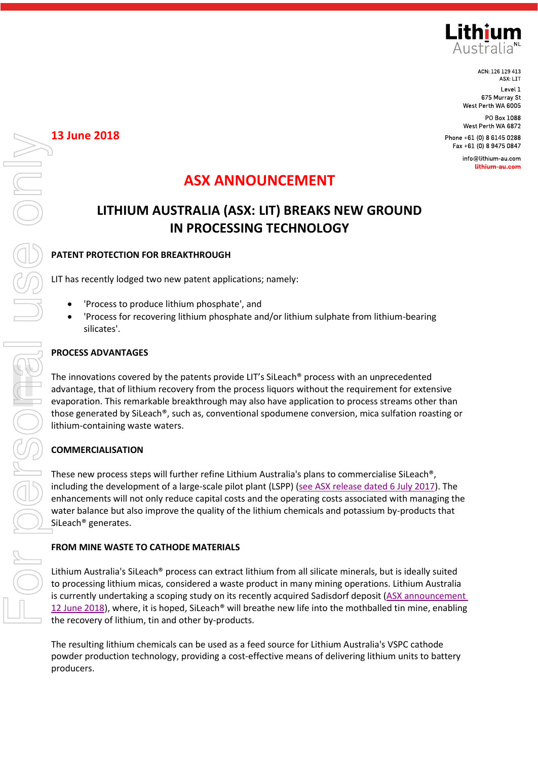

ACN: 126 129 413 ASX: LIT Level 1 675 Murray St West Perth WA 6005

info@lithium-au.com lithium-au.com

# **ASX ANNOUNCEMENT**

# **LITHIUM AUSTRALIA (ASX: LIT) BREAKS NEW GROUND IN PROCESSING TECHNOLOGY**

## **PATENT PROTECTION FOR BREAKTHROUGH**

LIT has recently lodged two new patent applications; namely:

- 'Process to produce lithium phosphate', and
- 'Process for recovering lithium phosphate and/or lithium sulphate from lithium-bearing silicates'.

## **PROCESS ADVANTAGES**

The innovations covered by the patents provide LIT's SiLeach® process with an unprecedented advantage, that of lithium recovery from the process liquors without the requirement for extensive evaporation. This remarkable breakthrough may also have application to process streams other than those generated by SiLeach®, such as, conventional spodumene conversion, mica sulfation roasting or lithium-containing waste waters.

## **COMMERCIALISATION**

These new process steps will further refine Lithium Australia's plans to commercialise SiLeach®, including the development of a large-scale pilot plant (LSPP) [\(see ASX release dated 6 July 2017\)](https://lithium-au.com/wp-content/uploads/2017/07/1689440.pdf). The enhancements will not only reduce capital costs and the operating costs associated with managing the water balance but also improve the quality of the lithium chemicals and potassium by-products that SiLeach® generates.

#### **FROM MINE WASTE TO CATHODE MATERIALS**

Lithium Australia's SiLeach® process can extract lithium from all silicate minerals, but is ideally suited to processing lithium micas, considered a waste product in many mining operations. Lithium Australia is currently undertaking a scoping study on its recently acquired Sadisdorf deposit (ASX announcement 12 June 2018), where, it is hoped, SiLeach® will breathe new life into the mothballed tin mine, enabling the recovery of lithium, tin and other by-products.

The resulting lithium chemicals can be used as a feed source for Lithium Australia's VSPC cathode powder production technology, providing a cost-effective means of delivering lithium units to battery producers.